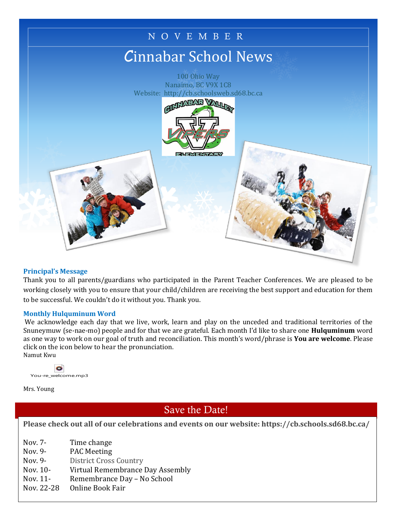

#### **Principal's Message**

Thank you to all parents/guardians who participated in the Parent Teacher Conferences. We are pleased to be working closely with you to ensure that your child/children are receiving the best support and education for them to be successful. We couldn't do it without you. Thank you.

#### **Monthly Hulquminum Word**

We acknowledge each day that we live, work, learn and play on the unceded and traditional territories of the Snuneymuw (se-nae-mo) people and for that we are grateful. Each month I'd like to share one **Hulquminum** word as one way to work on our goal of truth and reconciliation. This month's word/phrase is **You are welcome**. Please click on the icon below to hear the pronunciation. Namut Kwu



Mrs. Young

# Save the Date!

Time Tuesday, Please check out all of our celebrations and events on our website: https://cb.schools.sd68.bc.ca/ Wednesday, Thursday,

- $\mathbf{1}$  $\begin{array}{ccc} \text{Nov. 7-} & \text{Time change} \end{array}$ 
	- Nov. 9- PAC Meeting
	- Nov. 9- District Cross Country
	- Nov. 10- Virtual Remembrance Day Assembly
	- Nov. 11-Nov. 11- Remembrance Day - No School
	- Nov. 22-28 Nov. 22-28 Online Book Fair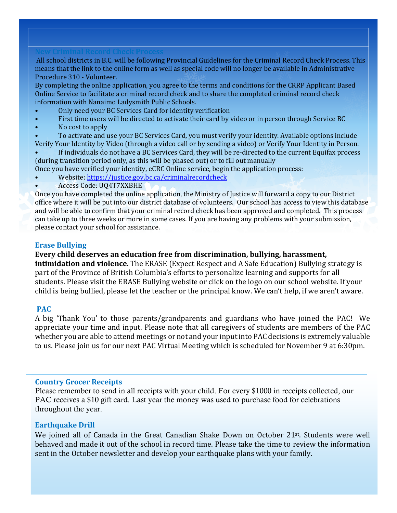All school districts in B.C. will be following Provincial Guidelines for the Criminal Record Check Process. This means that the link to the online form as well as special code will no longer be available in Administrative Procedure 310 - Volunteer.

By completing the online application, you agree to the terms and conditions for the CRRP Applicant Based Online Service to facilitate a criminal record check and to share the completed criminal record check information with Nanaimo Ladysmith Public Schools.

- Only need your BC Services Card for identity verification
- First time users will be directed to activate their card by video or in person through Service BC
- No cost to apply
- To activate and use your BC Services Card, you must verify your identity. Available options include Verify Your Identity by Video (through a video call or by sending a video) or Verify Your Identity in Person.
- If individuals do not have a BC Services Card, they will be re-directed to the current Equifax process (during transition period only, as this will be phased out) or to fill out manually
- Once you have verified your identity, eCRC Online service, begin the application process:
- Website:<https://justice.gov.bc.ca/criminalrecordcheck>
- Access Code: UQ4T7XXBHE

Once you have completed the online application, the Ministry of Justice will forward a copy to our District office where it will be put into our district database of volunteers. Our school has access to view this database and will be able to confirm that your criminal record check has been approved and completed. This process can take up to three weeks or more in some cases. If you are having any problems with your submission, please contact your school for assistance.

# **Erase Bullying**

# **Every child deserves an education free from discrimination, bullying, harassment,**

**intimidation and violence.** The ERASE (Expect Respect and A Safe Education) Bullying strategy is part of the Province of British Columbia's efforts to personalize learning and supports for all students. Please visit the ERASE Bullying website or click on the logo on our school website. If your child is being bullied, please let the teacher or the principal know. We can't help, if we aren't aware.

# **PAC**

A big 'Thank You' to those parents/grandparents and guardians who have joined the PAC! We appreciate your time and input. Please note that all caregivers of students are members of the PAC whether you are able to attend meetings or not and your input into PAC decisions is extremely valuable to us. Please join us for our next PAC Virtual Meeting which is scheduled for November 9 at 6:30pm.

#### **Country Grocer Receipts**

Please remember to send in all receipts with your child. For every \$1000 in receipts collected, our PAC receives a \$10 gift card. Last year the money was used to purchase food for celebrations throughout the year.

# **Earthquake Drill**

We joined all of Canada in the Great Canadian Shake Down on October 21st. Students were well behaved and made it out of the school in record time. Please take the time to review the information sent in the October newsletter and develop your earthquake plans with your family.